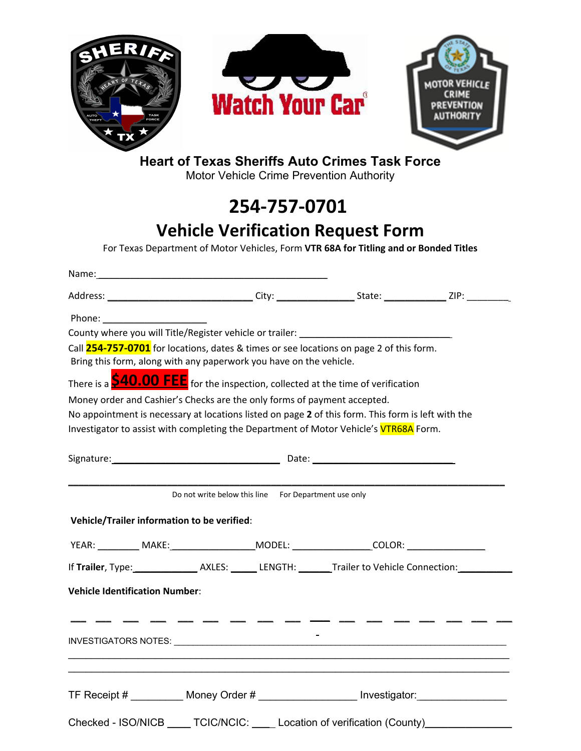

## **Heart of Texas Sheriffs Auto Crimes Task Force**

Motor Vehicle Crime Prevention Authority

# **254-757-0701**

## **Vehicle Verification Request Form**

For Texas Department of Motor Vehicles, Form **VTR 68A for Titling and or Bonded Titles**

| Name: 1990 - 1990 - 1990 - 1990 - 1990 - 1990 - 1990 - 1990 - 1990 - 1990 - 1990 - 1990 - 1990 - 1990 - 1990 -                                                                                                                 |                                                      |  |  |
|--------------------------------------------------------------------------------------------------------------------------------------------------------------------------------------------------------------------------------|------------------------------------------------------|--|--|
|                                                                                                                                                                                                                                |                                                      |  |  |
| Phone: New York Phone: New York Phone: New York Phone: New York Phone: New York Phone: New York Phone: New York Phone: New York Phone: New York Phone: New York Phone: New York Phone: New York Phone: New York Phone: New Yor |                                                      |  |  |
|                                                                                                                                                                                                                                |                                                      |  |  |
| Call 254-757-0701 for locations, dates & times or see locations on page 2 of this form.                                                                                                                                        |                                                      |  |  |
| Bring this form, along with any paperwork you have on the vehicle.                                                                                                                                                             |                                                      |  |  |
| There is a <b>\$40.00 FEE</b> for the inspection, collected at the time of verification                                                                                                                                        |                                                      |  |  |
| Money order and Cashier's Checks are the only forms of payment accepted.                                                                                                                                                       |                                                      |  |  |
| No appointment is necessary at locations listed on page 2 of this form. This form is left with the                                                                                                                             |                                                      |  |  |
| Investigator to assist with completing the Department of Motor Vehicle's VTR68A Form.                                                                                                                                          |                                                      |  |  |
|                                                                                                                                                                                                                                |                                                      |  |  |
| Vehicle/Trailer information to be verified:                                                                                                                                                                                    | Do not write below this line For Department use only |  |  |
|                                                                                                                                                                                                                                |                                                      |  |  |
| YEAR: __________ MAKE:_______________________MODEL: _____________________COLOR: ___________________                                                                                                                            |                                                      |  |  |
|                                                                                                                                                                                                                                |                                                      |  |  |
| <b>Vehicle Identification Number:</b>                                                                                                                                                                                          |                                                      |  |  |
|                                                                                                                                                                                                                                |                                                      |  |  |
|                                                                                                                                                                                                                                |                                                      |  |  |
| TF Receipt # __________ Money Order # __________________ Investigator: __________                                                                                                                                              |                                                      |  |  |
| Checked - ISO/NICB ____ TCIC/NCIC: ____ Location of verification (County)____________                                                                                                                                          |                                                      |  |  |